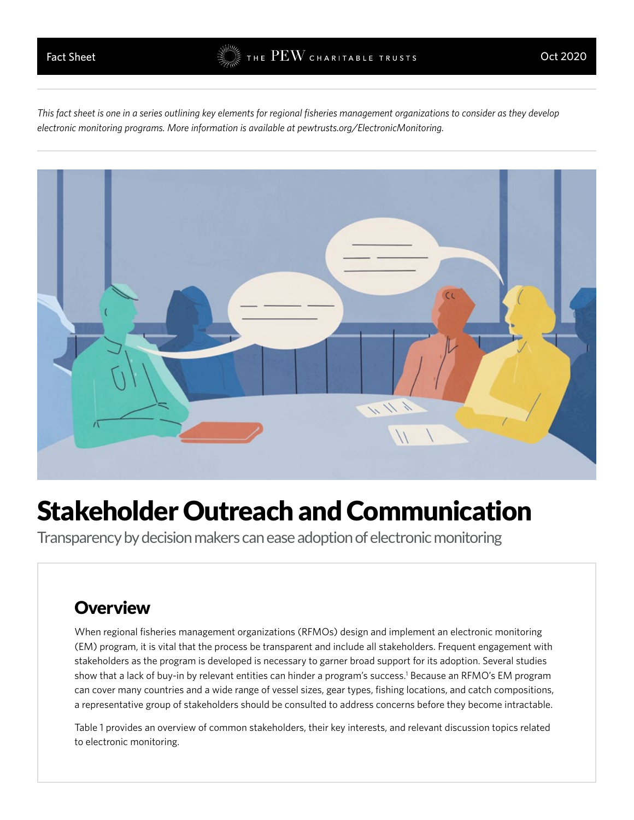*This fact sheet is one in a series outlining key elements for regional fisheries management organizations to consider as they develop electronic monitoring programs. More information is available at [pewtrusts.org/ElectronicMonitoring.](pewtrusts.org/ElectronicMonitoring)*



# Stakeholder Outreach and Communication

Transparency by decision makers can ease adoption of electronic monitoring

### **Overview**

When regional fisheries management organizations (RFMOs) design and implement an electronic monitoring (EM) program, it is vital that the process be transparent and include all stakeholders. Frequent engagement with stakeholders as the program is developed is necessary to garner broad support for its adoption. Several studies show that a lack of buy-in by relevant entities can hinder a program's success.<sup>1</sup> Because an RFMO's EM program can cover many countries and a wide range of vessel sizes, gear types, fishing locations, and catch compositions, a representative group of stakeholders should be consulted to address concerns before they become intractable.

Table 1 provides an overview of common stakeholders, their key interests, and relevant discussion topics related to electronic monitoring.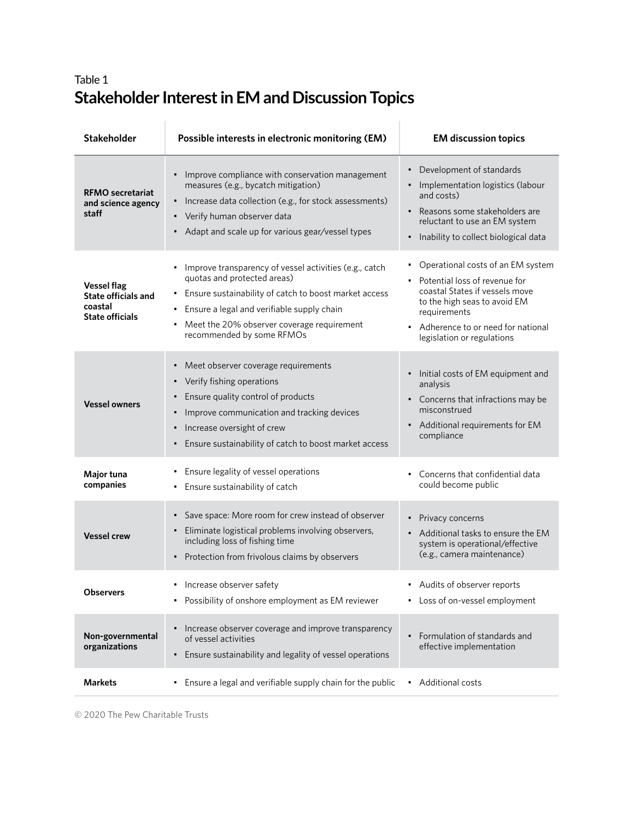### Table 1 **Stakeholder Interest in EM and Discussion Topics**

| <b>Stakeholder</b>                                                                    | Possible interests in electronic monitoring (EM)                                                                                                                                                                                                                                                       | <b>EM discussion topics</b>                                                                                                                                                                                                 |
|---------------------------------------------------------------------------------------|--------------------------------------------------------------------------------------------------------------------------------------------------------------------------------------------------------------------------------------------------------------------------------------------------------|-----------------------------------------------------------------------------------------------------------------------------------------------------------------------------------------------------------------------------|
| <b>RFMO</b> secretariat<br>and science agency<br>staff                                | Improve compliance with conservation management<br>$\bullet$<br>measures (e.g., bycatch mitigation)<br>Increase data collection (e.g., for stock assessments)<br>Verify human observer data<br>$\bullet$<br>• Adapt and scale up for various gear/vessel types                                         | Development of standards<br>Implementation logistics (labour<br>and costs)<br>Reasons some stakeholders are<br>reluctant to use an EM system<br>Inability to collect biological data                                        |
| <b>Vessel flag</b><br><b>State officials and</b><br>coastal<br><b>State officials</b> | Improve transparency of vessel activities (e.g., catch<br>$\bullet$<br>quotas and protected areas)<br>Ensure sustainability of catch to boost market access<br>$\bullet$<br>Ensure a legal and verifiable supply chain<br>Meet the 20% observer coverage requirement<br>٠<br>recommended by some RFMOs | • Operational costs of an EM system<br>• Potential loss of revenue for<br>coastal States if vessels move<br>to the high seas to avoid EM<br>requirements<br>Adherence to or need for national<br>legislation or regulations |
| <b>Vessel owners</b>                                                                  | Meet observer coverage requirements<br>$\bullet$<br>Verify fishing operations<br>$\bullet$<br>Ensure quality control of products<br>Improve communication and tracking devices<br>$\bullet$<br>Increase oversight of crew<br>٠<br>Ensure sustainability of catch to boost market access                | Initial costs of EM equipment and<br>analysis<br>• Concerns that infractions may be<br>misconstrued<br>Additional requirements for EM<br>compliance                                                                         |
| Major tuna<br>companies                                                               | Ensure legality of vessel operations<br>٠<br>Ensure sustainability of catch<br>٠                                                                                                                                                                                                                       | • Concerns that confidential data<br>could become public                                                                                                                                                                    |
| <b>Vessel crew</b>                                                                    | Save space: More room for crew instead of observer<br>$\bullet$<br>Eliminate logistical problems involving observers,<br>$\bullet$<br>including loss of fishing time<br>Protection from frivolous claims by observers                                                                                  | • Privacy concerns<br>Additional tasks to ensure the EM<br>system is operational/effective<br>(e.g., camera maintenance)                                                                                                    |
| <b>Observers</b>                                                                      | Increase observer safety<br>٠<br>Possibility of onshore employment as EM reviewer<br>٠                                                                                                                                                                                                                 | Audits of observer reports<br>Loss of on-vessel employment                                                                                                                                                                  |
| Non-governmental<br>organizations                                                     | Increase observer coverage and improve transparency<br>$\bullet$<br>of vessel activities<br>Ensure sustainability and legality of vessel operations                                                                                                                                                    | Formulation of standards and<br>effective implementation                                                                                                                                                                    |
| <b>Markets</b>                                                                        | Ensure a legal and verifiable supply chain for the public<br>٠                                                                                                                                                                                                                                         | Additional costs                                                                                                                                                                                                            |

© 2020 The Pew Charitable Trusts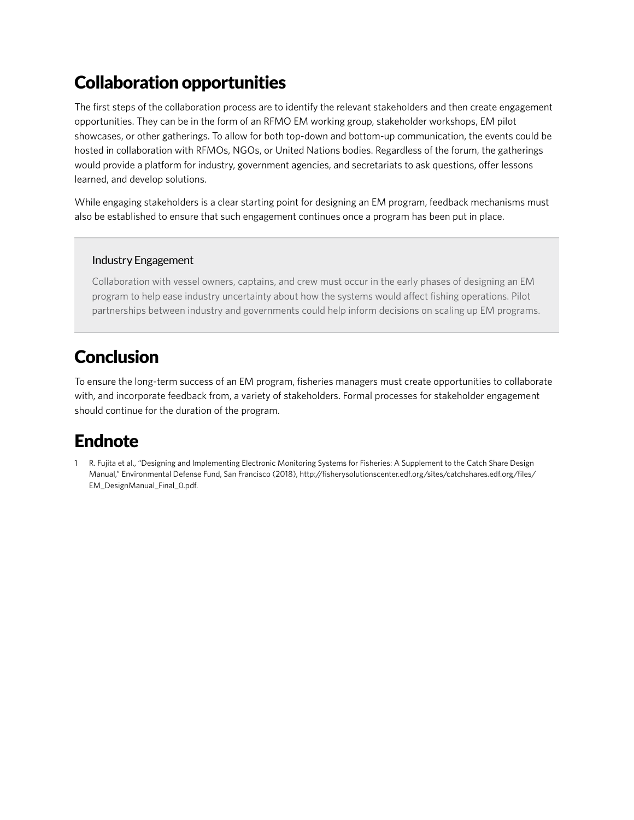# Collaboration opportunities

The first steps of the collaboration process are to identify the relevant stakeholders and then create engagement opportunities. They can be in the form of an RFMO EM working group, stakeholder workshops, EM pilot showcases, or other gatherings. To allow for both top-down and bottom-up communication, the events could be hosted in collaboration with RFMOs, NGOs, or United Nations bodies. Regardless of the forum, the gatherings would provide a platform for industry, government agencies, and secretariats to ask questions, offer lessons learned, and develop solutions.

While engaging stakeholders is a clear starting point for designing an EM program, feedback mechanisms must also be established to ensure that such engagement continues once a program has been put in place.

#### Industry Engagement

Collaboration with vessel owners, captains, and crew must occur in the early phases of designing an EM program to help ease industry uncertainty about how the systems would affect fishing operations. Pilot partnerships between industry and governments could help inform decisions on scaling up EM programs.

## Conclusion

To ensure the long-term success of an EM program, fisheries managers must create opportunities to collaborate with, and incorporate feedback from, a variety of stakeholders. Formal processes for stakeholder engagement should continue for the duration of the program.

## Endnote

1 R. Fujita et al., "Designing and Implementing Electronic Monitoring Systems for Fisheries: A Supplement to the Catch Share Design Manual," Environmental Defense Fund, San Francisco (2018), [http://fisherysolutionscenter.edf.org/sites/catchshares.edf.org/files/](http://fisherysolutionscenter.edf.org/sites/catchshares.edf.org/files/EM_DesignManual_Final_0.pdf) [EM\\_DesignManual\\_Final\\_0.pdf.](http://fisherysolutionscenter.edf.org/sites/catchshares.edf.org/files/EM_DesignManual_Final_0.pdf)